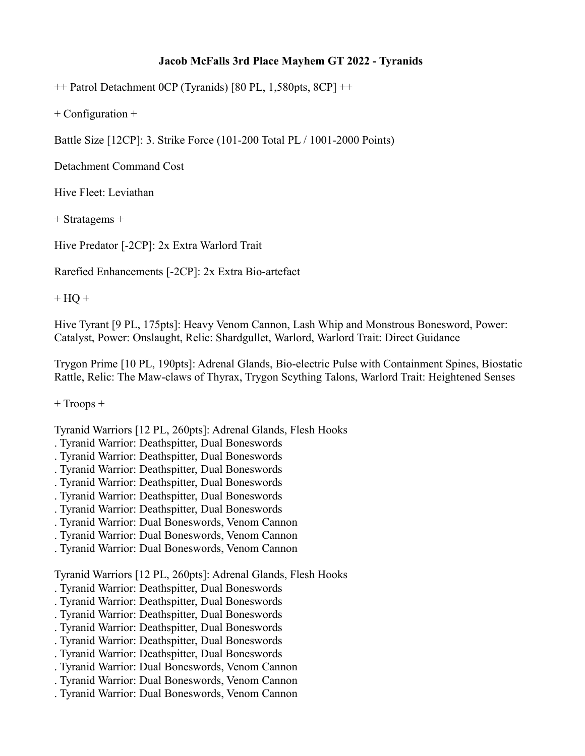## **Jacob McFalls 3rd Place Mayhem GT 2022 - Tyranids**

++ Patrol Detachment 0CP (Tyranids) [80 PL, 1,580pts, 8CP] ++

+ Configuration +

Battle Size [12CP]: 3. Strike Force (101-200 Total PL / 1001-2000 Points)

Detachment Command Cost

Hive Fleet: Leviathan

+ Stratagems +

Hive Predator [-2CP]: 2x Extra Warlord Trait

Rarefied Enhancements [-2CP]: 2x Extra Bio-artefact

 $+$  HQ  $+$ 

Hive Tyrant [9 PL, 175pts]: Heavy Venom Cannon, Lash Whip and Monstrous Bonesword, Power: Catalyst, Power: Onslaught, Relic: Shardgullet, Warlord, Warlord Trait: Direct Guidance

Trygon Prime [10 PL, 190pts]: Adrenal Glands, Bio-electric Pulse with Containment Spines, Biostatic Rattle, Relic: The Maw-claws of Thyrax, Trygon Scything Talons, Warlord Trait: Heightened Senses

+ Troops +

Tyranid Warriors [12 PL, 260pts]: Adrenal Glands, Flesh Hooks

- . Tyranid Warrior: Deathspitter, Dual Boneswords
- . Tyranid Warrior: Deathspitter, Dual Boneswords
- . Tyranid Warrior: Deathspitter, Dual Boneswords
- . Tyranid Warrior: Deathspitter, Dual Boneswords
- . Tyranid Warrior: Deathspitter, Dual Boneswords
- . Tyranid Warrior: Deathspitter, Dual Boneswords
- . Tyranid Warrior: Dual Boneswords, Venom Cannon
- . Tyranid Warrior: Dual Boneswords, Venom Cannon
- . Tyranid Warrior: Dual Boneswords, Venom Cannon

Tyranid Warriors [12 PL, 260pts]: Adrenal Glands, Flesh Hooks

- . Tyranid Warrior: Deathspitter, Dual Boneswords
- . Tyranid Warrior: Deathspitter, Dual Boneswords
- . Tyranid Warrior: Deathspitter, Dual Boneswords
- . Tyranid Warrior: Deathspitter, Dual Boneswords
- . Tyranid Warrior: Deathspitter, Dual Boneswords
- . Tyranid Warrior: Deathspitter, Dual Boneswords
- . Tyranid Warrior: Dual Boneswords, Venom Cannon
- . Tyranid Warrior: Dual Boneswords, Venom Cannon
- . Tyranid Warrior: Dual Boneswords, Venom Cannon